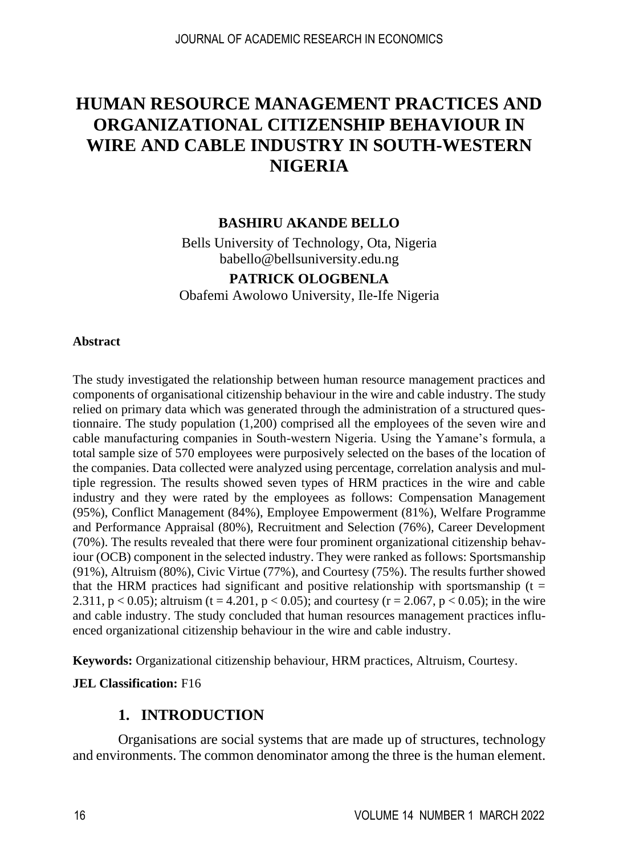# **HUMAN RESOURCE MANAGEMENT PRACTICES AND ORGANIZATIONAL CITIZENSHIP BEHAVIOUR IN WIRE AND CABLE INDUSTRY IN SOUTH-WESTERN NIGERIA**

### **BASHIRU AKANDE BELLO**

Bells University of Technology, Ota, Nigeria babello@bellsuniversity.edu.ng

# **PATRICK OLOGBENLA**

Obafemi Awolowo University, Ile-Ife Nigeria

#### **Abstract**

The study investigated the relationship between human resource management practices and components of organisational citizenship behaviour in the wire and cable industry. The study relied on primary data which was generated through the administration of a structured questionnaire. The study population (1,200) comprised all the employees of the seven wire and cable manufacturing companies in South-western Nigeria. Using the Yamane's formula, a total sample size of 570 employees were purposively selected on the bases of the location of the companies. Data collected were analyzed using percentage, correlation analysis and multiple regression. The results showed seven types of HRM practices in the wire and cable industry and they were rated by the employees as follows: Compensation Management (95%), Conflict Management (84%), Employee Empowerment (81%), Welfare Programme and Performance Appraisal (80%), Recruitment and Selection (76%), Career Development (70%). The results revealed that there were four prominent organizational citizenship behaviour (OCB) component in the selected industry. They were ranked as follows: Sportsmanship (91%), Altruism (80%), Civic Virtue (77%), and Courtesy (75%). The results further showed that the HRM practices had significant and positive relationship with sportsmanship ( $t =$ 2.311,  $p < 0.05$ ); altruism (t = 4.201,  $p < 0.05$ ); and courtesy (r = 2.067, p < 0.05); in the wire and cable industry. The study concluded that human resources management practices influenced organizational citizenship behaviour in the wire and cable industry.

**Keywords:** Organizational citizenship behaviour, HRM practices, Altruism, Courtesy.

#### **JEL Classification:** F16

#### **1. INTRODUCTION**

Organisations are social systems that are made up of structures, technology and environments. The common denominator among the three is the human element.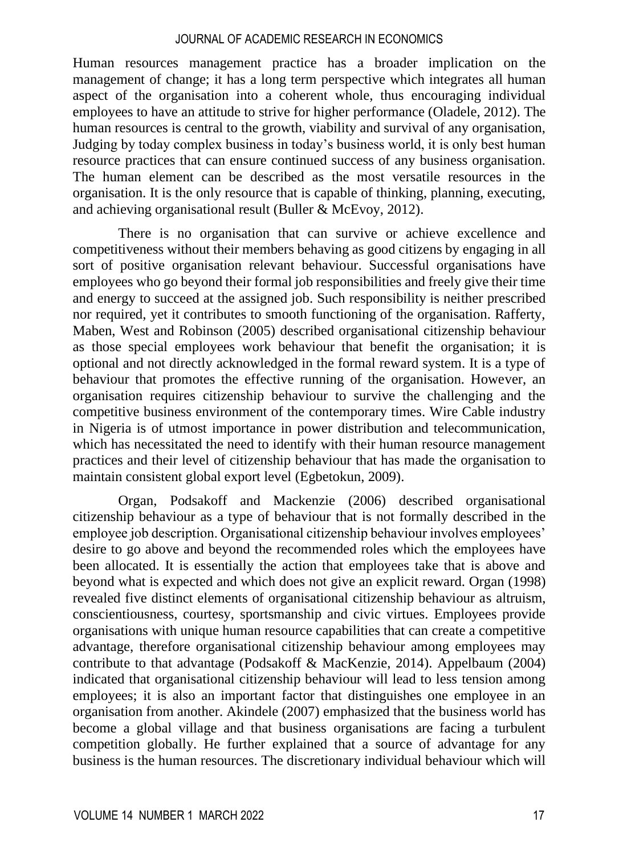Human resources management practice has a broader implication on the management of change; it has a long term perspective which integrates all human aspect of the organisation into a coherent whole, thus encouraging individual employees to have an attitude to strive for higher performance (Oladele, 2012). The human resources is central to the growth, viability and survival of any organisation, Judging by today complex business in today's business world, it is only best human resource practices that can ensure continued success of any business organisation. The human element can be described as the most versatile resources in the organisation. It is the only resource that is capable of thinking, planning, executing, and achieving organisational result (Buller & McEvoy, 2012).

There is no organisation that can survive or achieve excellence and competitiveness without their members behaving as good citizens by engaging in all sort of positive organisation relevant behaviour. Successful organisations have employees who go beyond their formal job responsibilities and freely give their time and energy to succeed at the assigned job. Such responsibility is neither prescribed nor required, yet it contributes to smooth functioning of the organisation. Rafferty, Maben, West and Robinson (2005) described organisational citizenship behaviour as those special employees work behaviour that benefit the organisation; it is optional and not directly acknowledged in the formal reward system. It is a type of behaviour that promotes the effective running of the organisation. However, an organisation requires citizenship behaviour to survive the challenging and the competitive business environment of the contemporary times. Wire Cable industry in Nigeria is of utmost importance in power distribution and telecommunication, which has necessitated the need to identify with their human resource management practices and their level of citizenship behaviour that has made the organisation to maintain consistent global export level (Egbetokun, 2009).

Organ, Podsakoff and Mackenzie (2006) described organisational citizenship behaviour as a type of behaviour that is not formally described in the employee job description. Organisational citizenship behaviour involves employees' desire to go above and beyond the recommended roles which the employees have been allocated. It is essentially the action that employees take that is above and beyond what is expected and which does not give an explicit reward. Organ (1998) revealed five distinct elements of organisational citizenship behaviour as altruism, conscientiousness, courtesy, sportsmanship and civic virtues. Employees provide organisations with unique human resource capabilities that can create a competitive advantage, therefore organisational citizenship behaviour among employees may contribute to that advantage (Podsakoff & MacKenzie, 2014). Appelbaum (2004) indicated that organisational citizenship behaviour will lead to less tension among employees; it is also an important factor that distinguishes one employee in an organisation from another. Akindele (2007) emphasized that the business world has become a global village and that business organisations are facing a turbulent competition globally. He further explained that a source of advantage for any business is the human resources. The discretionary individual behaviour which will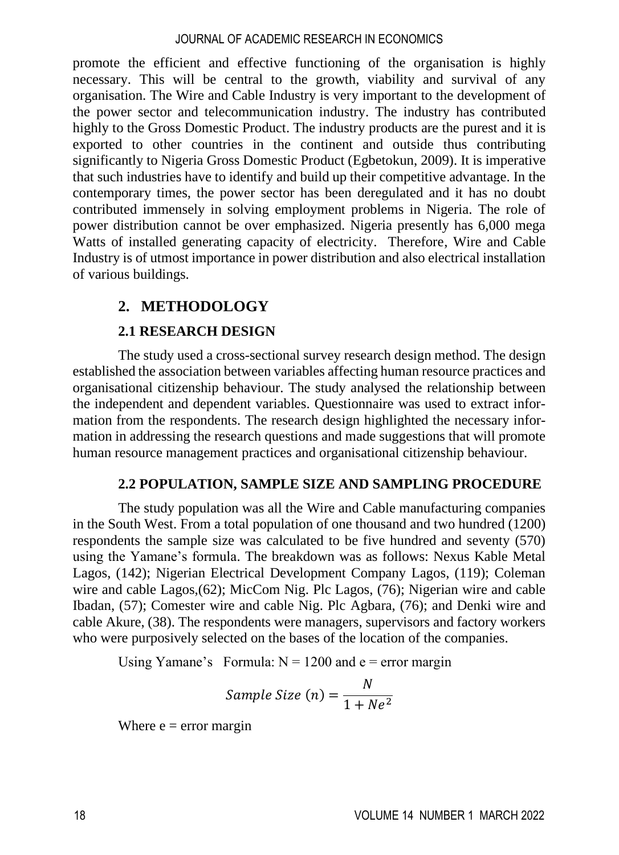promote the efficient and effective functioning of the organisation is highly necessary. This will be central to the growth, viability and survival of any organisation. The Wire and Cable Industry is very important to the development of the power sector and telecommunication industry. The industry has contributed highly to the Gross Domestic Product. The industry products are the purest and it is exported to other countries in the continent and outside thus contributing significantly to Nigeria Gross Domestic Product (Egbetokun, 2009). It is imperative that such industries have to identify and build up their competitive advantage. In the contemporary times, the power sector has been deregulated and it has no doubt contributed immensely in solving employment problems in Nigeria. The role of power distribution cannot be over emphasized. Nigeria presently has 6,000 mega Watts of installed generating capacity of electricity. Therefore, Wire and Cable Industry is of utmost importance in power distribution and also electrical installation of various buildings.

# **2. METHODOLOGY**

# **2.1 RESEARCH DESIGN**

The study used a cross-sectional survey research design method. The design established the association between variables affecting human resource practices and organisational citizenship behaviour. The study analysed the relationship between the independent and dependent variables. Questionnaire was used to extract information from the respondents. The research design highlighted the necessary information in addressing the research questions and made suggestions that will promote human resource management practices and organisational citizenship behaviour.

# **2.2 POPULATION, SAMPLE SIZE AND SAMPLING PROCEDURE**

The study population was all the Wire and Cable manufacturing companies in the South West. From a total population of one thousand and two hundred (1200) respondents the sample size was calculated to be five hundred and seventy (570) using the Yamane's formula. The breakdown was as follows: Nexus Kable Metal Lagos, (142); Nigerian Electrical Development Company Lagos, (119); Coleman wire and cable Lagos,(62); MicCom Nig. Plc Lagos, (76); Nigerian wire and cable Ibadan, (57); Comester wire and cable Nig. Plc Agbara, (76); and Denki wire and cable Akure, (38). The respondents were managers, supervisors and factory workers who were purposively selected on the bases of the location of the companies.

Using Yamane's Formula:  $N = 1200$  and  $e =$  error margin

$$
Sample\ Size\ (n) = \frac{N}{1 + Ne^2}
$$

Where  $e = error margin$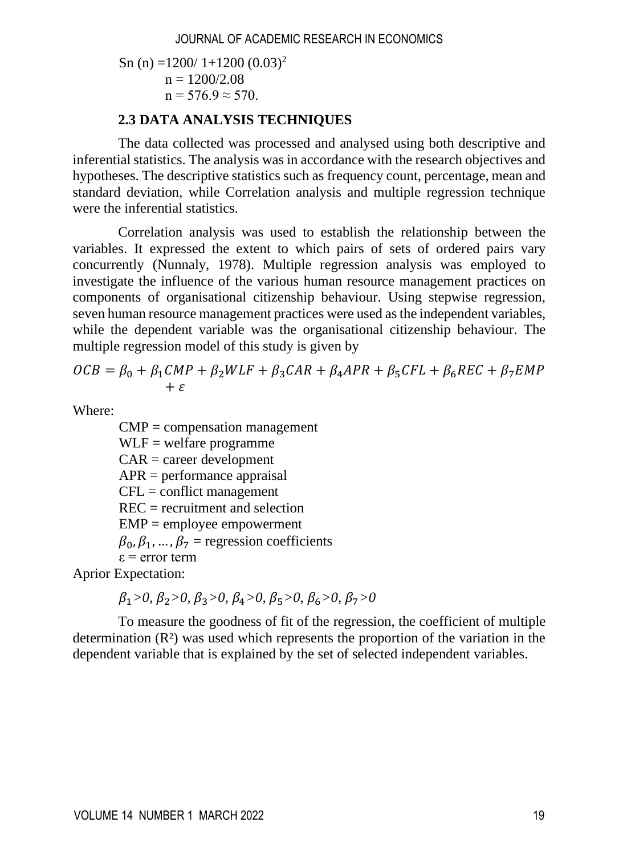Sn (n) =1200/ 1+1200 (0.03)<sup>2</sup>  $n = 1200/2.08$  $n = 576.9 \approx 570$ .

# **2.3 DATA ANALYSIS TECHNIQUES**

The data collected was processed and analysed using both descriptive and inferential statistics. The analysis was in accordance with the research objectives and hypotheses. The descriptive statistics such as frequency count, percentage, mean and standard deviation, while Correlation analysis and multiple regression technique were the inferential statistics.

Correlation analysis was used to establish the relationship between the variables. It expressed the extent to which pairs of sets of ordered pairs vary concurrently (Nunnaly, 1978). Multiple regression analysis was employed to investigate the influence of the various human resource management practices on components of organisational citizenship behaviour. Using stepwise regression, seven human resource management practices were used as the independent variables, while the dependent variable was the organisational citizenship behaviour. The multiple regression model of this study is given by

$$
OCB = \beta_0 + \beta_1 CMP + \beta_2 WLF + \beta_3 CAR + \beta_4 APR + \beta_5 CFL + \beta_6 REC + \beta_7 EMP + \varepsilon
$$

Where:

 $\text{CMP} = \text{compensation management}$  $WLF = welfare programme$  $CAR = career$  development  $APR =$  performance appraisal  $CFL =$  conflict management  $REC = recruitment$  and selection  $EMP =$  employee empowerment  $\beta_0$ ,  $\beta_1$ , ...,  $\beta_7$  = regression coefficients ε = error term

Aprior Expectation:

 $\beta_1 > 0, \ \beta_2 > 0, \ \beta_3 > 0, \ \beta_4 > 0, \ \beta_5 > 0, \ \beta_6 > 0, \ \beta_7 > 0$ 

To measure the goodness of fit of the regression, the coefficient of multiple determination  $(R<sup>2</sup>)$  was used which represents the proportion of the variation in the dependent variable that is explained by the set of selected independent variables.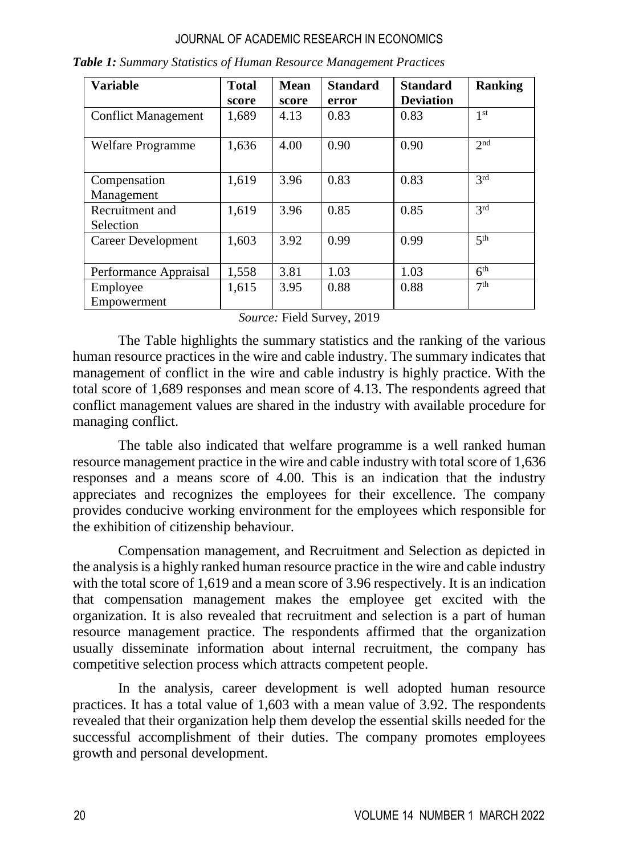| <b>Variable</b>              | <b>Total</b> | <b>Mean</b> | <b>Standard</b> | <b>Standard</b>  | <b>Ranking</b>  |
|------------------------------|--------------|-------------|-----------------|------------------|-----------------|
|                              | score        | score       | error           | <b>Deviation</b> |                 |
| <b>Conflict Management</b>   | 1,689        | 4.13        | 0.83            | 0.83             | 1 <sup>st</sup> |
| Welfare Programme            | 1,636        | 4.00        | 0.90            | 0.90             | 2 <sub>nd</sub> |
| Compensation<br>Management   | 1,619        | 3.96        | 0.83            | 0.83             | 2rd             |
| Recruitment and<br>Selection | 1,619        | 3.96        | 0.85            | 0.85             | 3 <sup>rd</sup> |
| Career Development           | 1,603        | 3.92        | 0.99            | 0.99             | 5 <sup>th</sup> |
| Performance Appraisal        | 1,558        | 3.81        | 1.03            | 1.03             | 6 <sup>th</sup> |
| Employee<br>Empowerment      | 1,615        | 3.95        | 0.88            | 0.88             | 7 <sup>th</sup> |

*Table 1: Summary Statistics of Human Resource Management Practices*

*Source:* Field Survey, 2019

The Table highlights the summary statistics and the ranking of the various human resource practices in the wire and cable industry. The summary indicates that management of conflict in the wire and cable industry is highly practice. With the total score of 1,689 responses and mean score of 4.13. The respondents agreed that conflict management values are shared in the industry with available procedure for managing conflict.

The table also indicated that welfare programme is a well ranked human resource management practice in the wire and cable industry with total score of 1,636 responses and a means score of 4.00. This is an indication that the industry appreciates and recognizes the employees for their excellence. The company provides conducive working environment for the employees which responsible for the exhibition of citizenship behaviour.

Compensation management, and Recruitment and Selection as depicted in the analysis is a highly ranked human resource practice in the wire and cable industry with the total score of 1,619 and a mean score of 3.96 respectively. It is an indication that compensation management makes the employee get excited with the organization. It is also revealed that recruitment and selection is a part of human resource management practice. The respondents affirmed that the organization usually disseminate information about internal recruitment, the company has competitive selection process which attracts competent people.

In the analysis, career development is well adopted human resource practices. It has a total value of 1,603 with a mean value of 3.92. The respondents revealed that their organization help them develop the essential skills needed for the successful accomplishment of their duties. The company promotes employees growth and personal development.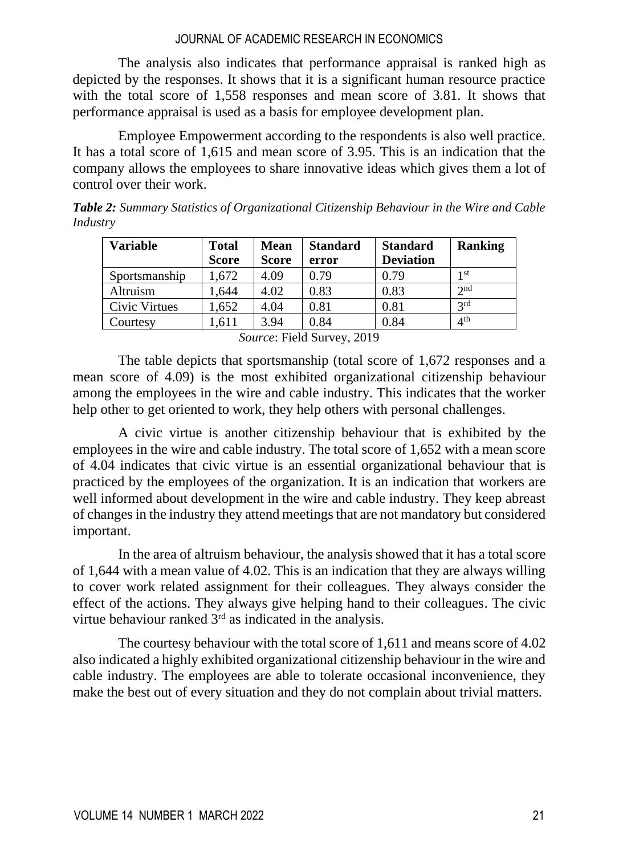The analysis also indicates that performance appraisal is ranked high as depicted by the responses. It shows that it is a significant human resource practice with the total score of 1,558 responses and mean score of 3.81. It shows that performance appraisal is used as a basis for employee development plan.

Employee Empowerment according to the respondents is also well practice. It has a total score of 1,615 and mean score of 3.95. This is an indication that the company allows the employees to share innovative ideas which gives them a lot of control over their work.

| Variable        | <b>Total</b><br><b>Score</b> | Mean<br><b>Score</b> | <b>Standard</b><br>error | <b>Standard</b><br><b>Deviation</b> | <b>Ranking</b>  |
|-----------------|------------------------------|----------------------|--------------------------|-------------------------------------|-----------------|
| Sportsmanship   | 1.672                        | 4.09                 | 0.79                     | 0.79                                | 1 st            |
| <b>Altruism</b> | 1.644                        | 4.02                 | 0.83                     | 0.83                                | $\gamma$ nd     |
| Civic Virtues   | .652                         | 4.04                 | 0.81                     | 0.81                                | 2rd             |
| Courtesy        | .611                         | 3.94                 | 0.84                     | 0.84                                | 4 <sup>th</sup> |

*Table 2: Summary Statistics of Organizational Citizenship Behaviour in the Wire and Cable Industry*

*Source*: Field Survey, 2019

The table depicts that sportsmanship (total score of 1,672 responses and a mean score of 4.09) is the most exhibited organizational citizenship behaviour among the employees in the wire and cable industry. This indicates that the worker help other to get oriented to work, they help others with personal challenges.

A civic virtue is another citizenship behaviour that is exhibited by the employees in the wire and cable industry. The total score of 1,652 with a mean score of 4.04 indicates that civic virtue is an essential organizational behaviour that is practiced by the employees of the organization. It is an indication that workers are well informed about development in the wire and cable industry. They keep abreast of changes in the industry they attend meetings that are not mandatory but considered important.

In the area of altruism behaviour, the analysis showed that it has a total score of 1,644 with a mean value of 4.02. This is an indication that they are always willing to cover work related assignment for their colleagues. They always consider the effect of the actions. They always give helping hand to their colleagues. The civic virtue behaviour ranked 3rd as indicated in the analysis.

The courtesy behaviour with the total score of 1,611 and means score of 4.02 also indicated a highly exhibited organizational citizenship behaviour in the wire and cable industry. The employees are able to tolerate occasional inconvenience, they make the best out of every situation and they do not complain about trivial matters.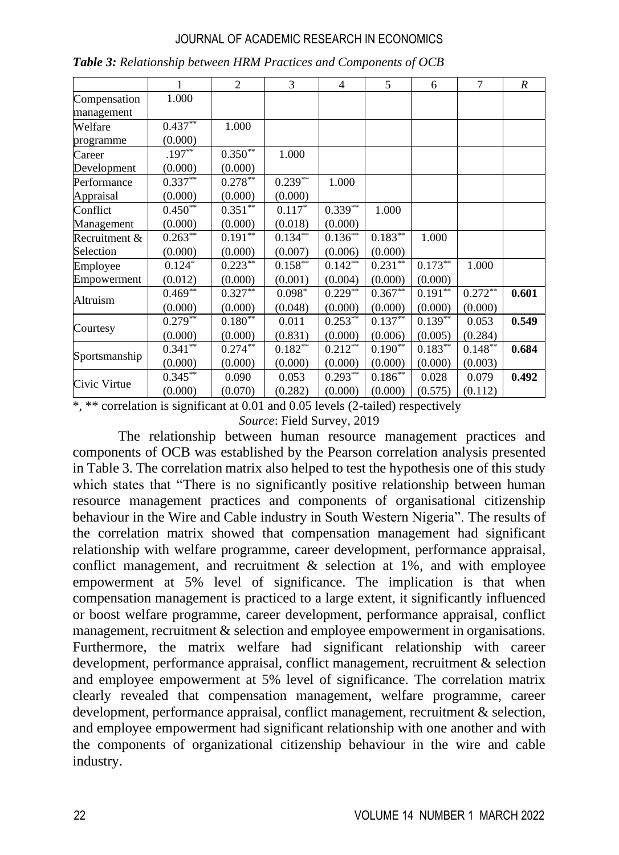|               | 1          | 2            | 3          | $\overline{4}$     | 5          | 6          | 7          | R     |
|---------------|------------|--------------|------------|--------------------|------------|------------|------------|-------|
| Compensation  | 1.000      |              |            |                    |            |            |            |       |
| management    |            |              |            |                    |            |            |            |       |
| Welfare       | $0.437**$  | 1.000        |            |                    |            |            |            |       |
| programme     | (0.000)    |              |            |                    |            |            |            |       |
| Career        | $.197**$   | $0.350**$    | 1.000      |                    |            |            |            |       |
| Development   | (0.000)    | (0.000)      |            |                    |            |            |            |       |
| Performance   | $0.337***$ | $0.278***$   | $0.239***$ | 1.000              |            |            |            |       |
| Appraisal     | (0.000)    | (0.000)      | (0.000)    |                    |            |            |            |       |
| Conflict      | $0.450**$  | $0.351**$    | $0.117*$   | $0.339***$         | 1.000      |            |            |       |
| Management    | (0.000)    | (0.000)      | (0.018)    | (0.000)            |            |            |            |       |
| Recruitment & | $0.263***$ | $0.191***$   | $0.134***$ | $0.136^{\ast\ast}$ | $0.183***$ | 1.000      |            |       |
| Selection     | (0.000)    | (0.000)      | (0.007)    | (0.006)            | (0.000)    |            |            |       |
| Employee      | $0.124*$   | $0.223^{**}$ | $0.158***$ | $0.142***$         | $0.231***$ | $0.173***$ | 1.000      |       |
| Empowerment   | (0.012)    | (0.000)      | (0.001)    | (0.004)            | (0.000)    | (0.000)    |            |       |
| Altruism      | $0.469**$  | $0.327**$    | $0.098*$   | $0.229***$         | $0.367**$  | $0.191**$  | $0.272***$ | 0.601 |
|               | (0.000)    | (0.000)      | (0.048)    | (0.000)            | (0.000)    | (0.000)    | (0.000)    |       |
| Courtesy      | $0.279***$ | $0.180**$    | 0.011      | $0.253***$         | $0.137**$  | $0.139***$ | 0.053      | 0.549 |
|               | (0.000)    | (0.000)      | (0.831)    | (0.000)            | (0.006)    | (0.005)    | (0.284)    |       |
| Sportsmanship | $0.341$ ** | $0.274$ **   | $0.182**$  | $0.212***$         | $0.190**$  | $0.183***$ | $0.148***$ | 0.684 |
|               | (0.000)    | (0.000)      | (0.000)    | (0.000)            | (0.000)    | (0.000)    | (0.003)    |       |
| Civic Virtue  | $0.345***$ | 0.090        | 0.053      | $0.293**$          | $0.186***$ | 0.028      | 0.079      | 0.492 |
|               | (0.000)    | (0.070)      | (0.282)    | (0.000)            | (0.000)    | (0.575)    | (0.112)    |       |

|  |  | Table 3: Relationship between HRM Practices and Components of OCB |  |  |  |
|--|--|-------------------------------------------------------------------|--|--|--|
|--|--|-------------------------------------------------------------------|--|--|--|

\*, \*\* correlation is significant at 0.01 and 0.05 levels (2-tailed) respectively

*Source*: Field Survey, 2019

The relationship between human resource management practices and components of OCB was established by the Pearson correlation analysis presented in Table 3. The correlation matrix also helped to test the hypothesis one of this study which states that "There is no significantly positive relationship between human resource management practices and components of organisational citizenship behaviour in the Wire and Cable industry in South Western Nigeria". The results of the correlation matrix showed that compensation management had significant relationship with welfare programme, career development, performance appraisal, conflict management, and recruitment  $\&$  selection at 1%, and with employee empowerment at 5% level of significance. The implication is that when compensation management is practiced to a large extent, it significantly influenced or boost welfare programme, career development, performance appraisal, conflict management, recruitment & selection and employee empowerment in organisations. Furthermore, the matrix welfare had significant relationship with career development, performance appraisal, conflict management, recruitment & selection and employee empowerment at 5% level of significance. The correlation matrix clearly revealed that compensation management, welfare programme, career development, performance appraisal, conflict management, recruitment & selection, and employee empowerment had significant relationship with one another and with the components of organizational citizenship behaviour in the wire and cable industry.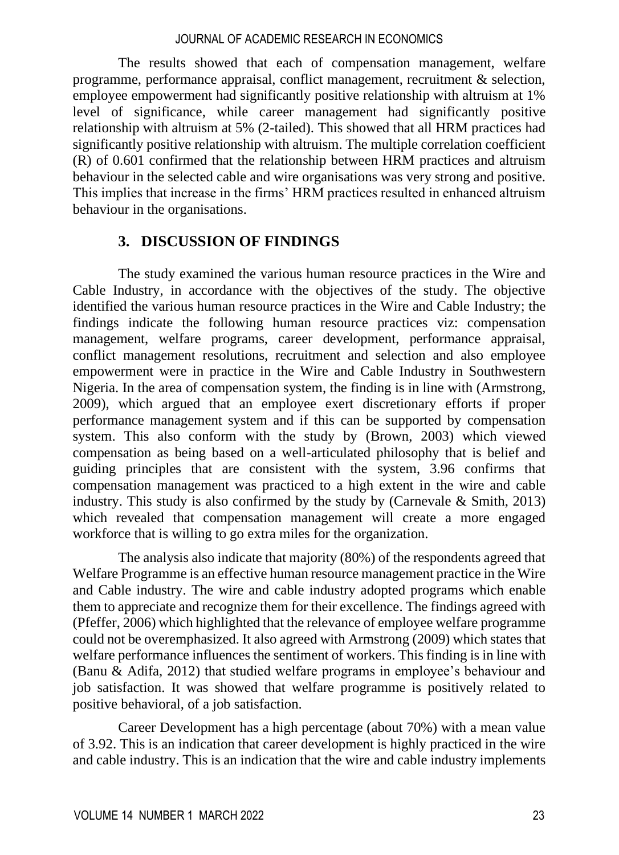The results showed that each of compensation management, welfare programme, performance appraisal, conflict management, recruitment & selection, employee empowerment had significantly positive relationship with altruism at 1% level of significance, while career management had significantly positive relationship with altruism at 5% (2-tailed). This showed that all HRM practices had significantly positive relationship with altruism. The multiple correlation coefficient (R) of 0.601 confirmed that the relationship between HRM practices and altruism behaviour in the selected cable and wire organisations was very strong and positive. This implies that increase in the firms' HRM practices resulted in enhanced altruism behaviour in the organisations.

# **3. DISCUSSION OF FINDINGS**

The study examined the various human resource practices in the Wire and Cable Industry, in accordance with the objectives of the study. The objective identified the various human resource practices in the Wire and Cable Industry; the findings indicate the following human resource practices viz: compensation management, welfare programs, career development, performance appraisal, conflict management resolutions, recruitment and selection and also employee empowerment were in practice in the Wire and Cable Industry in Southwestern Nigeria. In the area of compensation system, the finding is in line with (Armstrong, 2009), which argued that an employee exert discretionary efforts if proper performance management system and if this can be supported by compensation system. This also conform with the study by (Brown, 2003) which viewed compensation as being based on a well-articulated philosophy that is belief and guiding principles that are consistent with the system, 3.96 confirms that compensation management was practiced to a high extent in the wire and cable industry. This study is also confirmed by the study by (Carnevale  $\&$  Smith, 2013) which revealed that compensation management will create a more engaged workforce that is willing to go extra miles for the organization.

The analysis also indicate that majority (80%) of the respondents agreed that Welfare Programme is an effective human resource management practice in the Wire and Cable industry. The wire and cable industry adopted programs which enable them to appreciate and recognize them for their excellence. The findings agreed with (Pfeffer, 2006) which highlighted that the relevance of employee welfare programme could not be overemphasized. It also agreed with Armstrong (2009) which states that welfare performance influences the sentiment of workers. This finding is in line with (Banu & Adifa, 2012) that studied welfare programs in employee's behaviour and job satisfaction. It was showed that welfare programme is positively related to positive behavioral, of a job satisfaction.

Career Development has a high percentage (about 70%) with a mean value of 3.92. This is an indication that career development is highly practiced in the wire and cable industry. This is an indication that the wire and cable industry implements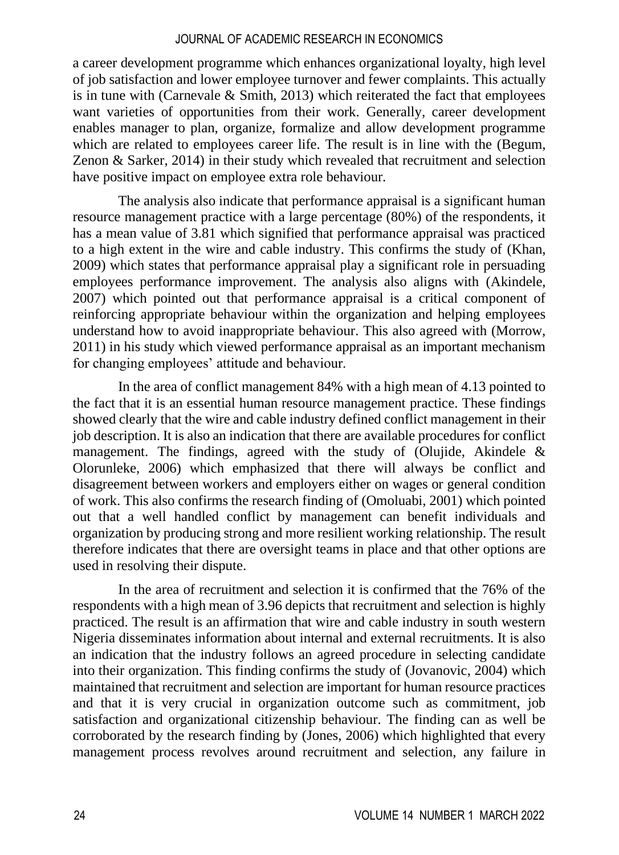a career development programme which enhances organizational loyalty, high level of job satisfaction and lower employee turnover and fewer complaints. This actually is in tune with (Carnevale  $& Smith, 2013$ ) which reiterated the fact that employees want varieties of opportunities from their work. Generally, career development enables manager to plan, organize, formalize and allow development programme which are related to employees career life. The result is in line with the (Begum, Zenon & Sarker, 2014) in their study which revealed that recruitment and selection have positive impact on employee extra role behaviour.

The analysis also indicate that performance appraisal is a significant human resource management practice with a large percentage (80%) of the respondents, it has a mean value of 3.81 which signified that performance appraisal was practiced to a high extent in the wire and cable industry. This confirms the study of (Khan, 2009) which states that performance appraisal play a significant role in persuading employees performance improvement. The analysis also aligns with (Akindele, 2007) which pointed out that performance appraisal is a critical component of reinforcing appropriate behaviour within the organization and helping employees understand how to avoid inappropriate behaviour. This also agreed with (Morrow, 2011) in his study which viewed performance appraisal as an important mechanism for changing employees' attitude and behaviour.

In the area of conflict management 84% with a high mean of 4.13 pointed to the fact that it is an essential human resource management practice. These findings showed clearly that the wire and cable industry defined conflict management in their job description. It is also an indication that there are available procedures for conflict management. The findings, agreed with the study of (Olujide, Akindele  $\&$ Olorunleke, 2006) which emphasized that there will always be conflict and disagreement between workers and employers either on wages or general condition of work. This also confirms the research finding of (Omoluabi, 2001) which pointed out that a well handled conflict by management can benefit individuals and organization by producing strong and more resilient working relationship. The result therefore indicates that there are oversight teams in place and that other options are used in resolving their dispute.

In the area of recruitment and selection it is confirmed that the 76% of the respondents with a high mean of 3.96 depicts that recruitment and selection is highly practiced. The result is an affirmation that wire and cable industry in south western Nigeria disseminates information about internal and external recruitments. It is also an indication that the industry follows an agreed procedure in selecting candidate into their organization. This finding confirms the study of (Jovanovic, 2004) which maintained that recruitment and selection are important for human resource practices and that it is very crucial in organization outcome such as commitment, job satisfaction and organizational citizenship behaviour. The finding can as well be corroborated by the research finding by (Jones, 2006) which highlighted that every management process revolves around recruitment and selection, any failure in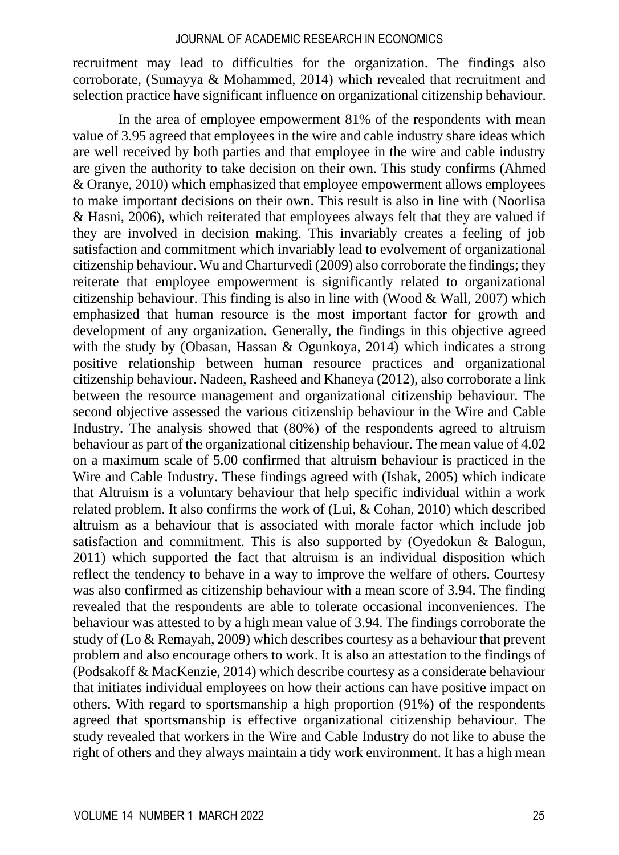recruitment may lead to difficulties for the organization. The findings also corroborate, (Sumayya & Mohammed, 2014) which revealed that recruitment and selection practice have significant influence on organizational citizenship behaviour.

In the area of employee empowerment 81% of the respondents with mean value of 3.95 agreed that employees in the wire and cable industry share ideas which are well received by both parties and that employee in the wire and cable industry are given the authority to take decision on their own. This study confirms (Ahmed & Oranye, 2010) which emphasized that employee empowerment allows employees to make important decisions on their own. This result is also in line with (Noorlisa & Hasni, 2006), which reiterated that employees always felt that they are valued if they are involved in decision making. This invariably creates a feeling of job satisfaction and commitment which invariably lead to evolvement of organizational citizenship behaviour. Wu and Charturvedi (2009) also corroborate the findings; they reiterate that employee empowerment is significantly related to organizational citizenship behaviour. This finding is also in line with (Wood  $&$  Wall, 2007) which emphasized that human resource is the most important factor for growth and development of any organization. Generally, the findings in this objective agreed with the study by (Obasan, Hassan & Ogunkoya, 2014) which indicates a strong positive relationship between human resource practices and organizational citizenship behaviour. Nadeen, Rasheed and Khaneya (2012), also corroborate a link between the resource management and organizational citizenship behaviour. The second objective assessed the various citizenship behaviour in the Wire and Cable Industry. The analysis showed that (80%) of the respondents agreed to altruism behaviour as part of the organizational citizenship behaviour. The mean value of 4.02 on a maximum scale of 5.00 confirmed that altruism behaviour is practiced in the Wire and Cable Industry. These findings agreed with (Ishak, 2005) which indicate that Altruism is a voluntary behaviour that help specific individual within a work related problem. It also confirms the work of (Lui, & Cohan, 2010) which described altruism as a behaviour that is associated with morale factor which include job satisfaction and commitment. This is also supported by (Oyedokun & Balogun, 2011) which supported the fact that altruism is an individual disposition which reflect the tendency to behave in a way to improve the welfare of others. Courtesy was also confirmed as citizenship behaviour with a mean score of 3.94. The finding revealed that the respondents are able to tolerate occasional inconveniences. The behaviour was attested to by a high mean value of 3.94. The findings corroborate the study of (Lo & Remayah, 2009) which describes courtesy as a behaviour that prevent problem and also encourage others to work. It is also an attestation to the findings of (Podsakoff & MacKenzie, 2014) which describe courtesy as a considerate behaviour that initiates individual employees on how their actions can have positive impact on others. With regard to sportsmanship a high proportion (91%) of the respondents agreed that sportsmanship is effective organizational citizenship behaviour. The study revealed that workers in the Wire and Cable Industry do not like to abuse the right of others and they always maintain a tidy work environment. It has a high mean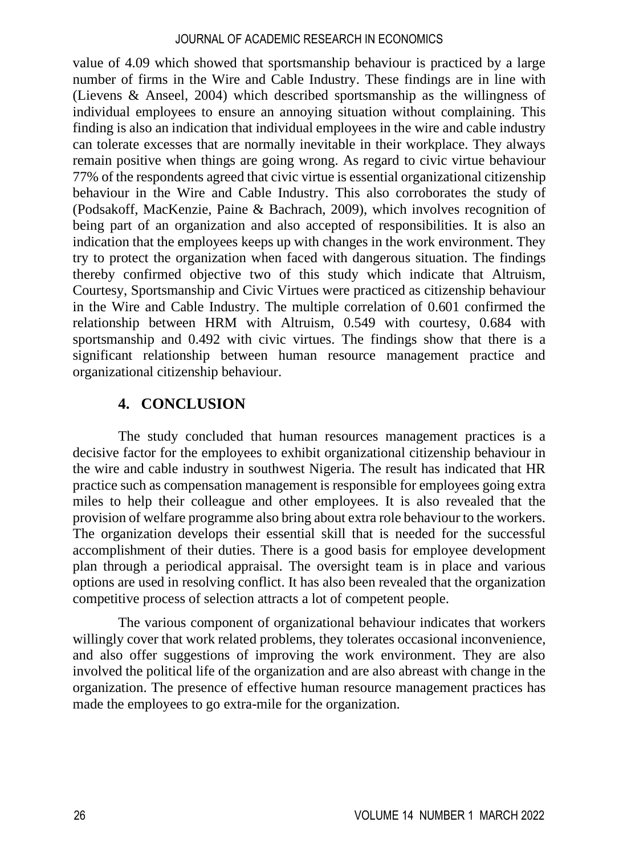value of 4.09 which showed that sportsmanship behaviour is practiced by a large number of firms in the Wire and Cable Industry. These findings are in line with (Lievens & Anseel, 2004) which described sportsmanship as the willingness of individual employees to ensure an annoying situation without complaining. This finding is also an indication that individual employees in the wire and cable industry can tolerate excesses that are normally inevitable in their workplace. They always remain positive when things are going wrong. As regard to civic virtue behaviour 77% of the respondents agreed that civic virtue is essential organizational citizenship behaviour in the Wire and Cable Industry. This also corroborates the study of (Podsakoff, MacKenzie, Paine & Bachrach, 2009), which involves recognition of being part of an organization and also accepted of responsibilities. It is also an indication that the employees keeps up with changes in the work environment. They try to protect the organization when faced with dangerous situation. The findings thereby confirmed objective two of this study which indicate that Altruism, Courtesy, Sportsmanship and Civic Virtues were practiced as citizenship behaviour in the Wire and Cable Industry. The multiple correlation of 0.601 confirmed the relationship between HRM with Altruism, 0.549 with courtesy, 0.684 with sportsmanship and 0.492 with civic virtues. The findings show that there is a significant relationship between human resource management practice and organizational citizenship behaviour.

# **4. CONCLUSION**

The study concluded that human resources management practices is a decisive factor for the employees to exhibit organizational citizenship behaviour in the wire and cable industry in southwest Nigeria. The result has indicated that HR practice such as compensation management is responsible for employees going extra miles to help their colleague and other employees. It is also revealed that the provision of welfare programme also bring about extra role behaviour to the workers. The organization develops their essential skill that is needed for the successful accomplishment of their duties. There is a good basis for employee development plan through a periodical appraisal. The oversight team is in place and various options are used in resolving conflict. It has also been revealed that the organization competitive process of selection attracts a lot of competent people.

The various component of organizational behaviour indicates that workers willingly cover that work related problems, they tolerates occasional inconvenience, and also offer suggestions of improving the work environment. They are also involved the political life of the organization and are also abreast with change in the organization. The presence of effective human resource management practices has made the employees to go extra-mile for the organization.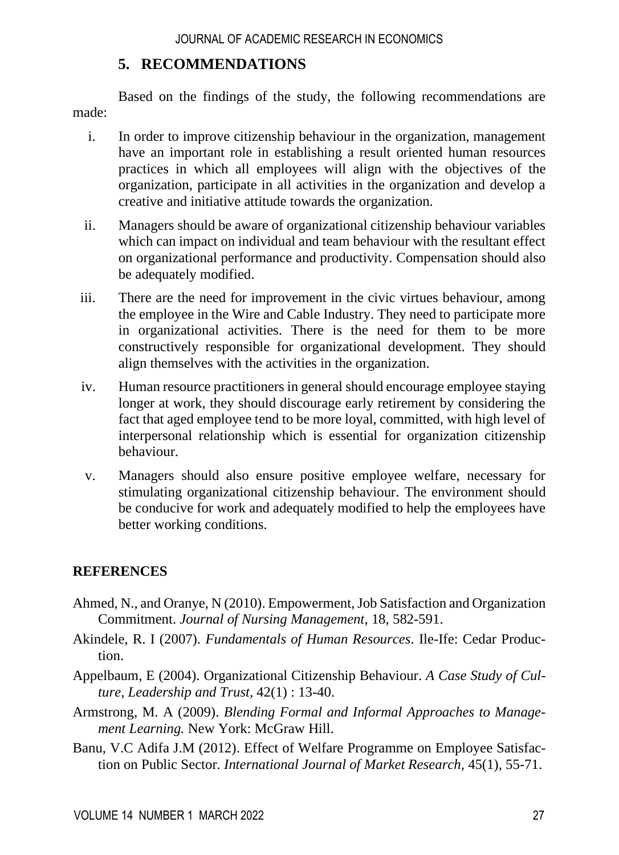# **5. RECOMMENDATIONS**

Based on the findings of the study, the following recommendations are made:

- i. In order to improve citizenship behaviour in the organization, management have an important role in establishing a result oriented human resources practices in which all employees will align with the objectives of the organization, participate in all activities in the organization and develop a creative and initiative attitude towards the organization.
- ii. Managers should be aware of organizational citizenship behaviour variables which can impact on individual and team behaviour with the resultant effect on organizational performance and productivity. Compensation should also be adequately modified.
- iii. There are the need for improvement in the civic virtues behaviour, among the employee in the Wire and Cable Industry. They need to participate more in organizational activities. There is the need for them to be more constructively responsible for organizational development. They should align themselves with the activities in the organization.
- iv. Human resource practitioners in general should encourage employee staying longer at work, they should discourage early retirement by considering the fact that aged employee tend to be more loyal, committed, with high level of interpersonal relationship which is essential for organization citizenship behaviour.
- v. Managers should also ensure positive employee welfare, necessary for stimulating organizational citizenship behaviour. The environment should be conducive for work and adequately modified to help the employees have better working conditions.

# **REFERENCES**

- Ahmed, N., and Oranye, N (2010). Empowerment, Job Satisfaction and Organization Commitment. *Journal of Nursing Management*, 18, 582-591.
- Akindele, R. I (2007). *Fundamentals of Human Resources*. Ile-Ife: Cedar Production.
- Appelbaum, E (2004). Organizational Citizenship Behaviour. *A Case Study of Culture, Leadership and Trust,* 42(1) : 13-40.
- Armstrong, M. A (2009). *Blending Formal and Informal Approaches to Management Learning.* New York: McGraw Hill.
- Banu, V.C Adifa J.M (2012). Effect of Welfare Programme on Employee Satisfaction on Public Sector. *International Journal of Market Research,* 45(1), 55-71.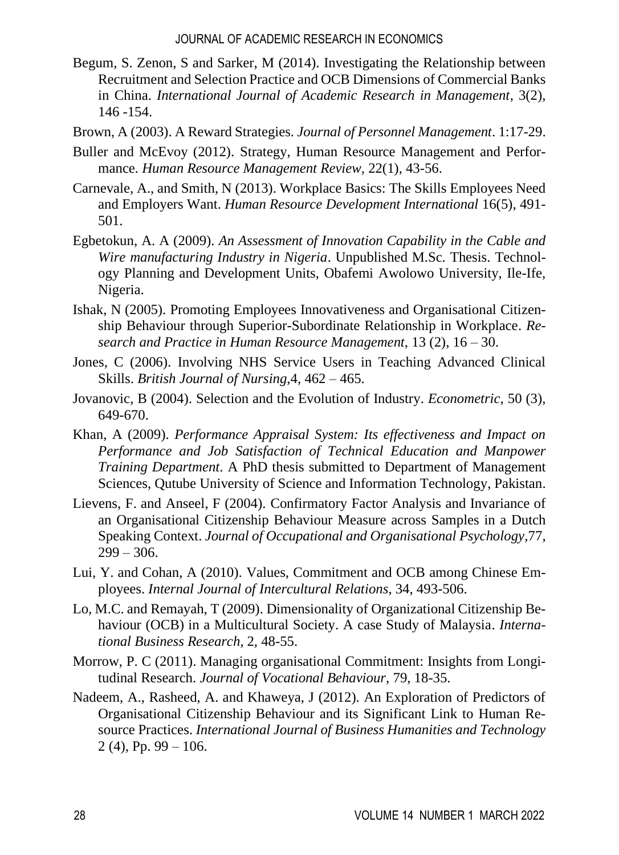- Begum, S. Zenon, S and Sarker, M (2014). Investigating the Relationship between Recruitment and Selection Practice and OCB Dimensions of Commercial Banks in China. *International Journal of Academic Research in Management*, 3(2), 146 -154.
- Brown, A (2003). A Reward Strategies. *Journal of Personnel Management*. 1:17-29.
- Buller and McEvoy (2012). Strategy, Human Resource Management and Performance. *Human Resource Management Review,* 22(1), 43-56.
- Carnevale, A., and Smith, N (2013). Workplace Basics: The Skills Employees Need and Employers Want. *Human Resource Development International* 16(5), 491- 501.
- Egbetokun, A. A (2009). *An Assessment of Innovation Capability in the Cable and Wire manufacturing Industry in Nigeria*. Unpublished M.Sc. Thesis. Technology Planning and Development Units, Obafemi Awolowo University, Ile-Ife, Nigeria.
- Ishak, N (2005). Promoting Employees Innovativeness and Organisational Citizenship Behaviour through Superior-Subordinate Relationship in Workplace. *Research and Practice in Human Resource Management*, 13 (2), 16 – 30.
- Jones, C (2006). Involving NHS Service Users in Teaching Advanced Clinical Skills. *British Journal of Nursing*,4, 462 – 465.
- Jovanovic, B (2004). Selection and the Evolution of Industry. *Econometric*, 50 (3), 649-670.
- Khan, A (2009). *Performance Appraisal System: Its effectiveness and Impact on Performance and Job Satisfaction of Technical Education and Manpower Training Department*. A PhD thesis submitted to Department of Management Sciences, Qutube University of Science and Information Technology, Pakistan.
- Lievens, F. and Anseel, F (2004). Confirmatory Factor Analysis and Invariance of an Organisational Citizenship Behaviour Measure across Samples in a Dutch Speaking Context. *Journal of Occupational and Organisational Psychology*,77,  $299 - 306.$
- Lui, Y. and Cohan, A (2010). Values, Commitment and OCB among Chinese Employees. *Internal Journal of Intercultural Relations*, 34, 493-506.
- Lo, M.C. and Remayah, T (2009). Dimensionality of Organizational Citizenship Behaviour (OCB) in a Multicultural Society. A case Study of Malaysia. *International Business Research*, 2, 48-55.
- Morrow, P. C (2011). Managing organisational Commitment: Insights from Longitudinal Research. *Journal of Vocational Behaviour*, 79, 18-35.
- Nadeem, A., Rasheed, A. and Khaweya, J (2012). An Exploration of Predictors of Organisational Citizenship Behaviour and its Significant Link to Human Resource Practices. *International Journal of Business Humanities and Technology* 2 (4), Pp.  $99 - 106$ .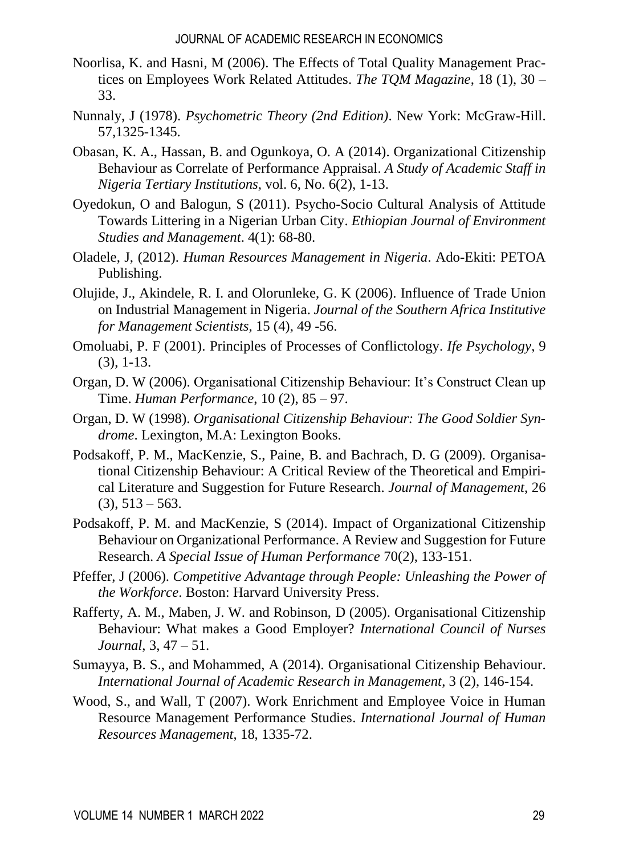- Noorlisa, K. and Hasni, M (2006). The Effects of Total Quality Management Practices on Employees Work Related Attitudes. *The TQM Magazine*, 18 (1), 30 – 33.
- Nunnaly, J (1978). *Psychometric Theory (2nd Edition)*. New York: McGraw-Hill. 57,1325-1345.
- Obasan, K. A., Hassan, B. and Ogunkoya, O. A (2014). Organizational Citizenship Behaviour as Correlate of Performance Appraisal. *A Study of Academic Staff in Nigeria Tertiary Institutions*, vol. 6, No. 6(2), 1-13.
- Oyedokun, O and Balogun, S (2011). Psycho-Socio Cultural Analysis of Attitude Towards Littering in a Nigerian Urban City. *Ethiopian Journal of Environment Studies and Management*. 4(1): 68-80.
- Oladele, J, (2012). *Human Resources Management in Nigeria*. Ado-Ekiti: PETOA Publishing.
- Olujide, J., Akindele, R. I. and Olorunleke, G. K (2006). Influence of Trade Union on Industrial Management in Nigeria. *Journal of the Southern Africa Institutive for Management Scientists*, 15 (4), 49 -56.
- Omoluabi, P. F (2001). Principles of Processes of Conflictology. *Ife Psychology*, 9 (3), 1-13.
- Organ, D. W (2006). Organisational Citizenship Behaviour: It's Construct Clean up Time. *Human Performance*, 10 (2), 85 – 97.
- Organ, D. W (1998). *Organisational Citizenship Behaviour: The Good Soldier Syndrome*. Lexington, M.A: Lexington Books.
- Podsakoff, P. M., MacKenzie, S., Paine, B. and Bachrach, D. G (2009). Organisational Citizenship Behaviour: A Critical Review of the Theoretical and Empirical Literature and Suggestion for Future Research. *Journal of Management*, 26  $(3), 513 - 563.$
- Podsakoff, P. M. and MacKenzie, S (2014). Impact of Organizational Citizenship Behaviour on Organizational Performance. A Review and Suggestion for Future Research. *A Special Issue of Human Performance* 70(2), 133-151.
- Pfeffer, J (2006). *Competitive Advantage through People: Unleashing the Power of the Workforce*. Boston: Harvard University Press.
- Rafferty, A. M., Maben, J. W. and Robinson, D (2005). Organisational Citizenship Behaviour: What makes a Good Employer? *International Council of Nurses Journal*, 3, 47 – 51.
- Sumayya, B. S., and Mohammed, A (2014). Organisational Citizenship Behaviour. *International Journal of Academic Research in Management*, 3 (2), 146-154.
- Wood, S., and Wall, T (2007). Work Enrichment and Employee Voice in Human Resource Management Performance Studies. *International Journal of Human Resources Management*, 18, 1335-72.